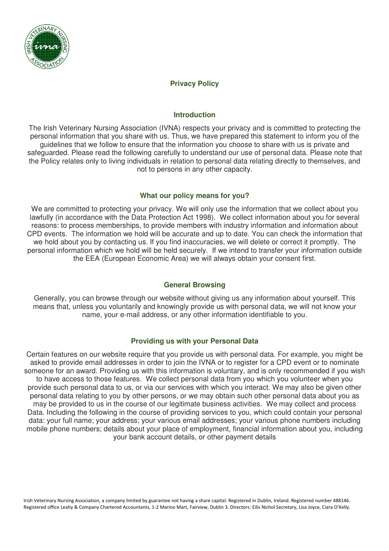

# **Privacy Policy**

### **Introduction**

The Irish Veterinary Nursing Association (IVNA) respects your privacy and is committed to protecting the personal information that you share with us. Thus, we have prepared this statement to inform you of the guidelines that we follow to ensure that the information you choose to share with us is private and safeguarded. Please read the following carefully to understand our use of personal data. Please note that the Policy relates only to living individuals in relation to personal data relating directly to themselves, and not to persons in any other capacity.

## **What our policy means for you?**

We are committed to protecting your privacy. We will only use the information that we collect about you lawfully (in accordance with the Data Protection Act 1998). We collect information about you for several reasons: to process memberships, to provide members with industry information and information about CPD events. The information we hold will be accurate and up to date. You can check the information that we hold about you by contacting us. If you find inaccuracies, we will delete or correct it promptly. The personal information which we hold will be held securely. If we intend to transfer your information outside the EEA (European Economic Area) we will always obtain your consent first.

# **General Browsing**

Generally, you can browse through our website without giving us any information about yourself. This means that, unless you voluntarily and knowingly provide us with personal data, we will not know your name, your e-mail address, or any other information identifiable to you.

# **Providing us with your Personal Data**

Certain features on our website require that you provide us with personal data. For example, you might be asked to provide email addresses in order to join the IVNA or to register for a CPD event or to nominate someone for an award. Providing us with this information is voluntary, and is only recommended if you wish to have access to those features. We collect personal data from you which you volunteer when you provide such personal data to us, or via our services with which you interact. We may also be given other personal data relating to you by other persons, or we may obtain such other personal data about you as may be provided to us in the course of our legitimate business activities. We may collect and process Data. Including the following in the course of providing services to you, which could contain your personal data: your full name; your address; your various email addresses; your various phone numbers including mobile phone numbers; details about your place of employment, financial information about you, including your bank account details, or other payment details